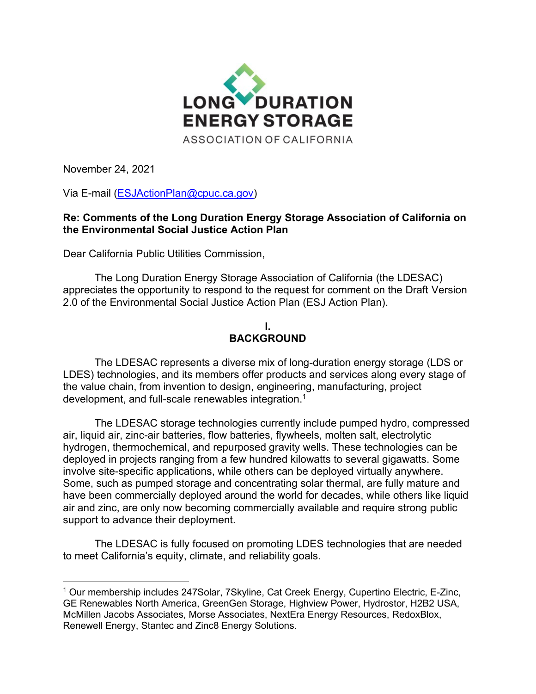

November 24, 2021

Via E-mail [\(ESJActionP](mailto:ESJAction)lan@cpuc.ca.gov)

## **Re: Comments of the Long Duration Energy Storage Association of California on the Environmental Social Justice Action Plan**

Dear California Public Utilities Commission,

The Long Duration Energy Storage Association of California (the LDESAC) appreciates the opportunity to respond to the request for comment on the Draft Version 2.0 of the Environmental Social Justice Action Plan (ESJ Action Plan).

## **I. BACKGROUND**

The LDESAC represents a diverse mix of long-duration energy storage (LDS or LDES) technologies, and its members offer products and services along every stage of the value chain, from invention to design, engineering, manufacturing, project development, and full-scale renewables integration.<sup>1</sup>

The LDESAC storage technologies currently include pumped hydro, compressed air, liquid air, zinc-air batteries, flow batteries, flywheels, molten salt, electrolytic hydrogen, thermochemical, and repurposed gravity wells. These technologies can be deployed in projects ranging from a few hundred kilowatts to several gigawatts. Some involve site-specific applications, while others can be deployed virtually anywhere. Some, such as pumped storage and concentrating solar thermal, are fully mature and have been commercially deployed around the world for decades, while others like liquid air and zinc, are only now becoming commercially available and require strong public support to advance their deployment.

The LDESAC is fully focused on promoting LDES technologies that are needed to meet California's equity, climate, and reliability goals.

<sup>1</sup> Our membership includes 247Solar, 7Skyline, Cat Creek Energy, Cupertino Electric, E-Zinc, GE Renewables North America, GreenGen Storage, Highview Power, Hydrostor, H2B2 USA, McMillen Jacobs Associates, Morse Associates, NextEra Energy Resources, RedoxBlox, Renewell Energy, Stantec and Zinc8 Energy Solutions.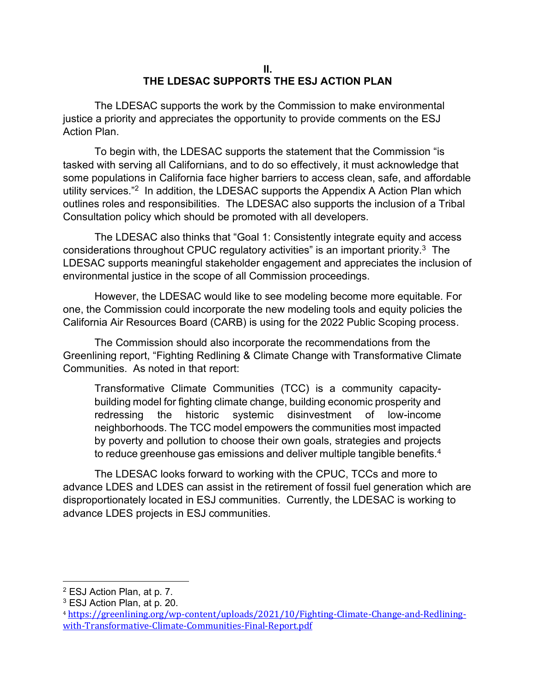## **II. THE LDESAC SUPPORTS THE ESJ ACTION PLAN**

The LDESAC supports the work by the Commission to make environmental justice a priority and appreciates the opportunity to provide comments on the ESJ Action Plan.

To begin with, the LDESAC supports the statement that the Commission "is tasked with serving all Californians, and to do so effectively, it must acknowledge that some populations in California face higher barriers to access clean, safe, and affordable utility services."<sup>2</sup> In addition, the LDESAC supports the Appendix A Action Plan which outlines roles and responsibilities. The LDESAC also supports the inclusion of a Tribal Consultation policy which should be promoted with all developers.

The LDESAC also thinks that "Goal 1: Consistently integrate equity and access considerations throughout CPUC regulatory activities" is an important priority.<sup>3</sup> The LDESAC supports meaningful stakeholder engagement and appreciates the inclusion of environmental justice in the scope of all Commission proceedings.

However, the LDESAC would like to see modeling become more equitable. For one, the Commission could incorporate the new modeling tools and equity policies the California Air Resources Board (CARB) is using for the 2022 Public Scoping process.

The Commission should also incorporate the recommendations from the Greenlining report, "Fighting Redlining & Climate Change with Transformative Climate Communities. As noted in that report:

Transformative Climate Communities (TCC) is a community capacitybuilding model for fighting climate change, building economic prosperity and redressing the historic systemic disinvestment of low-income neighborhoods. The TCC model empowers the communities most impacted by poverty and pollution to choose their own goals, strategies and projects to reduce greenhouse gas emissions and deliver multiple tangible benefits.<sup>4</sup>

The LDESAC looks forward to working with the CPUC, TCCs and more to advance LDES and LDES can assist in the retirement of fossil fuel generation which are disproportionately located in ESJ communities. Currently, the LDESAC is working to advance LDES projects in ESJ communities.

<sup>2</sup> ESJ Action Plan, at p. 7.

<sup>3</sup> ESJ Action Plan, at p. 20.

<sup>4</sup> [https://greenlining.org/wp-content/uploads/2021/10/Fighting-Climate-Change-and-Redlining](https://greenlining.org/wp-content/uploads/2021/10/Fighting-Climate-Change-and-Redlining-with-Transformative-Climate-Communities-Final-Report.pdf)[with-Transformative-Climate-Communities-Final-Report.pdf](https://greenlining.org/wp-content/uploads/2021/10/Fighting-Climate-Change-and-Redlining-with-Transformative-Climate-Communities-Final-Report.pdf)